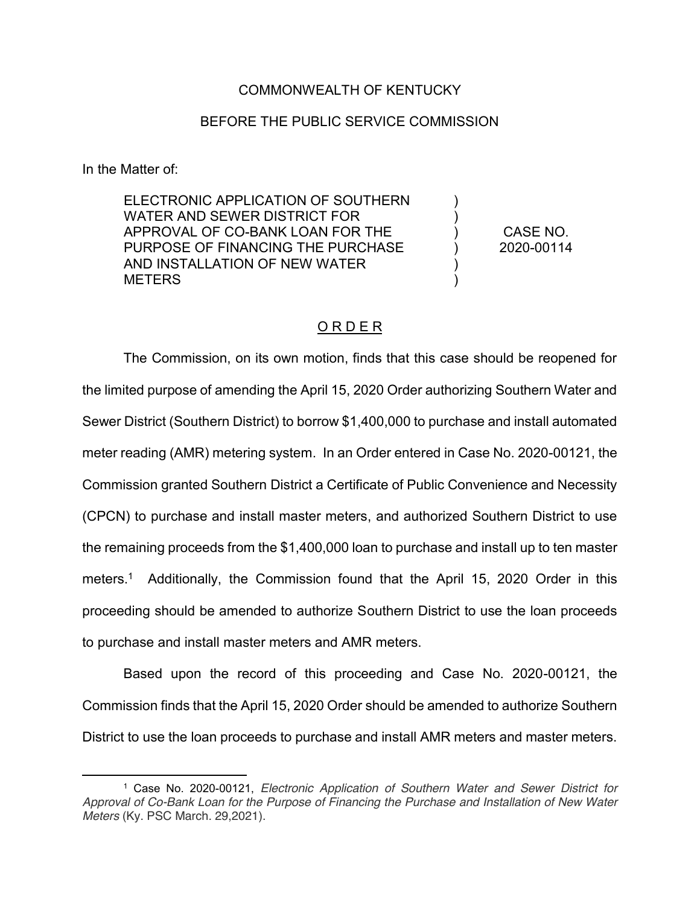### COMMONWEALTH OF KENTUCKY

### BEFORE THE PUBLIC SERVICE COMMISSION

In the Matter of:

 $\overline{\phantom{a}}$ 

ELECTRONIC APPLICATION OF SOUTHERN WATER AND SEWER DISTRICT FOR APPROVAL OF CO-BANK LOAN FOR THE PURPOSE OF FINANCING THE PURCHASE AND INSTALLATION OF NEW WATER **METERS** 

CASE NO. 2020-00114

) ) ) ) ) )

## O R D E R

The Commission, on its own motion, finds that this case should be reopened for the limited purpose of amending the April 15, 2020 Order authorizing Southern Water and Sewer District (Southern District) to borrow \$1,400,000 to purchase and install automated meter reading (AMR) metering system. In an Order entered in Case No. 2020-00121, the Commission granted Southern District a Certificate of Public Convenience and Necessity (CPCN) to purchase and install master meters, and authorized Southern District to use the remaining proceeds from the \$1,400,000 loan to purchase and install up to ten master meters.1 Additionally, the Commission found that the April 15, 2020 Order in this proceeding should be amended to authorize Southern District to use the loan proceeds to purchase and install master meters and AMR meters.

Based upon the record of this proceeding and Case No. 2020-00121, the Commission finds that the April 15, 2020 Order should be amended to authorize Southern District to use the loan proceeds to purchase and install AMR meters and master meters.

<sup>1</sup> Case No. 2020-00121, *Electronic Application of Southern Water and Sewer District for Approval of Co-Bank Loan for the Purpose of Financing the Purchase and Installation of New Water Meters* (Ky. PSC March. 29,2021).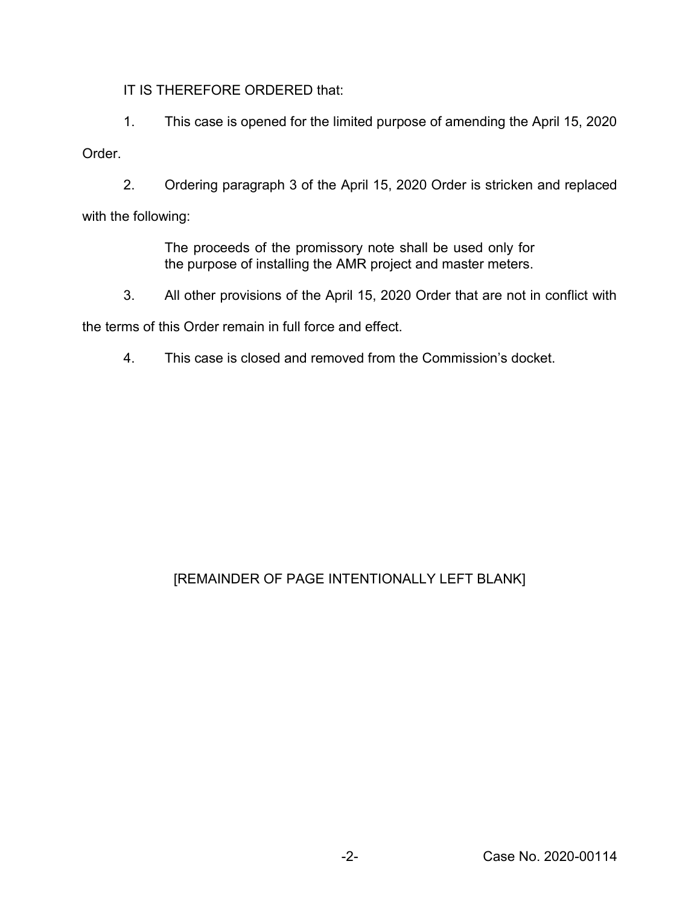IT IS THEREFORE ORDERED that:

1. This case is opened for the limited purpose of amending the April 15, 2020

## Order.

2. Ordering paragraph 3 of the April 15, 2020 Order is stricken and replaced with the following:

> The proceeds of the promissory note shall be used only for the purpose of installing the AMR project and master meters.

3. All other provisions of the April 15, 2020 Order that are not in conflict with

the terms of this Order remain in full force and effect.

4. This case is closed and removed from the Commission's docket.

# [REMAINDER OF PAGE INTENTIONALLY LEFT BLANK]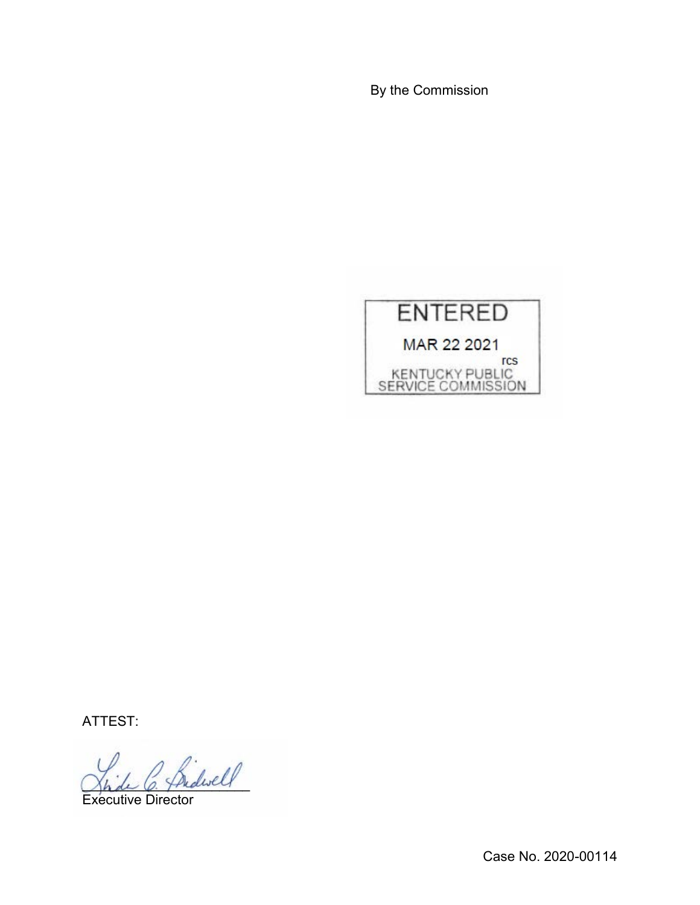By the Commission



ATTEST:

2 Bidwell

Executive Director

Case No. 2020-00114